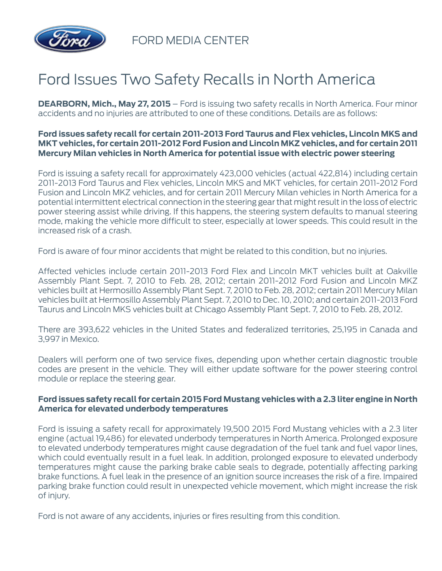

FORD MEDIA CENTER

## Ford Issues Two Safety Recalls in North America

**DEARBORN, Mich., May 27, 2015** – Ford is issuing two safety recalls in North America. Four minor accidents and no injuries are attributed to one of these conditions. Details are as follows:

## **Ford issues safety recall for certain 2011-2013 Ford Taurus and Flex vehicles, Lincoln MKS and MKT vehicles, for certain 2011-2012 Ford Fusion and Lincoln MKZ vehicles, and for certain 2011 Mercury Milan vehicles in North America for potential issue with electric power steering**

Ford is issuing a safety recall for approximately 423,000 vehicles (actual 422,814) including certain 2011-2013 Ford Taurus and Flex vehicles, Lincoln MKS and MKT vehicles, for certain 2011-2012 Ford Fusion and Lincoln MKZ vehicles, and for certain 2011 Mercury Milan vehicles in North America for a potential intermittent electrical connection in the steering gear that might result in the loss of electric power steering assist while driving. If this happens, the steering system defaults to manual steering mode, making the vehicle more difficult to steer, especially at lower speeds. This could result in the increased risk of a crash.

Ford is aware of four minor accidents that might be related to this condition, but no injuries.

Affected vehicles include certain 2011-2013 Ford Flex and Lincoln MKT vehicles built at Oakville Assembly Plant Sept. 7, 2010 to Feb. 28, 2012; certain 2011-2012 Ford Fusion and Lincoln MKZ vehicles built at Hermosillo Assembly Plant Sept. 7, 2010 to Feb. 28, 2012; certain 2011 Mercury Milan vehicles built at Hermosillo Assembly Plant Sept. 7, 2010 to Dec. 10, 2010; and certain 2011-2013 Ford Taurus and Lincoln MKS vehicles built at Chicago Assembly Plant Sept. 7, 2010 to Feb. 28, 2012.

There are 393,622 vehicles in the United States and federalized territories, 25,195 in Canada and 3,997 in Mexico.

Dealers will perform one of two service fixes, depending upon whether certain diagnostic trouble codes are present in the vehicle. They will either update software for the power steering control module or replace the steering gear.

## **Ford issues safety recall for certain 2015 Ford Mustang vehicles with a 2.3 liter engine in North America for elevated underbody temperatures**

Ford is issuing a safety recall for approximately 19,500 2015 Ford Mustang vehicles with a 2.3 liter engine (actual 19,486) for elevated underbody temperatures in North America. Prolonged exposure to elevated underbody temperatures might cause degradation of the fuel tank and fuel vapor lines, which could eventually result in a fuel leak. In addition, prolonged exposure to elevated underbody temperatures might cause the parking brake cable seals to degrade, potentially affecting parking brake functions. A fuel leak in the presence of an ignition source increases the risk of a fire. Impaired parking brake function could result in unexpected vehicle movement, which might increase the risk of injury.

Ford is not aware of any accidents, injuries or fires resulting from this condition.